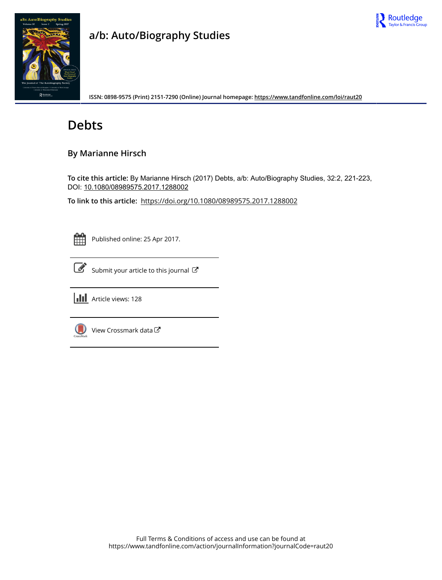

# **a/b: Auto/Biography Studies**



**ISSN: 0898-9575 (Print) 2151-7290 (Online) Journal homepage:<https://www.tandfonline.com/loi/raut20>**

# **Debts**

# **By Marianne Hirsch**

**To cite this article:** By Marianne Hirsch (2017) Debts, a/b: Auto/Biography Studies, 32:2, 221-223, DOI: [10.1080/08989575.2017.1288002](https://www.tandfonline.com/action/showCitFormats?doi=10.1080/08989575.2017.1288002)

**To link to this article:** <https://doi.org/10.1080/08989575.2017.1288002>



Published online: 25 Apr 2017.



 $\overrightarrow{S}$  [Submit your article to this journal](https://www.tandfonline.com/action/authorSubmission?journalCode=raut20&show=instructions)  $\overrightarrow{S}$ 



**Article views: 128** 



[View Crossmark data](http://crossmark.crossref.org/dialog/?doi=10.1080/08989575.2017.1288002&domain=pdf&date_stamp=2017-04-25)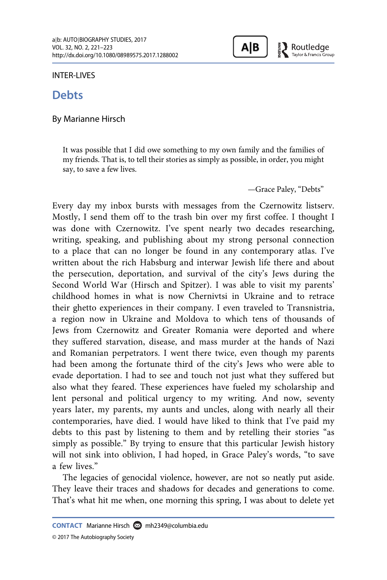

### **INTER-LIVES**

# **Debts**

### By Marianne Hirsch

It was possible that I did owe something to my own family and the families of my friends. That is, to tell their stories as simply as possible, in order, you might say, to save a few lives.

—Grace Paley, "Debts"

Every day my inbox bursts with messages from the Czernowitz listserv. Mostly, I send them off to the trash bin over my first coffee. I thought I was done with Czernowitz. I've spent nearly two decades researching, writing, speaking, and publishing about my strong personal connection to a place that can no longer be found in any contemporary atlas. I've written about the rich Habsburg and interwar Jewish life there and about the persecution, deportation, and survival of the city's Jews during the Second World War (Hirsch and Spitzer). I was able to visit my parents' childhood homes in what is now Chernivtsi in Ukraine and to retrace their ghetto experiences in their company. I even traveled to Transnistria, a region now in Ukraine and Moldova to which tens of thousands of Jews from Czernowitz and Greater Romania were deported and where they suffered starvation, disease, and mass murder at the hands of Nazi and Romanian perpetrators. I went there twice, even though my parents had been among the fortunate third of the city's Jews who were able to evade deportation. I had to see and touch not just what they suffered but also what they feared. These experiences have fueled my scholarship and lent personal and political urgency to my writing. And now, seventy years later, my parents, my aunts and uncles, along with nearly all their contemporaries, have died. I would have liked to think that I've paid my debts to this past by listening to them and by retelling their stories "as simply as possible." By trying to ensure that this particular Jewish history will not sink into oblivion, I had hoped, in Grace Paley's words, "to save a few lives."

The legacies of genocidal violence, however, are not so neatly put aside. They leave their traces and shadows for decades and generations to come. That's what hit me when, one morning this spring, I was about to delete yet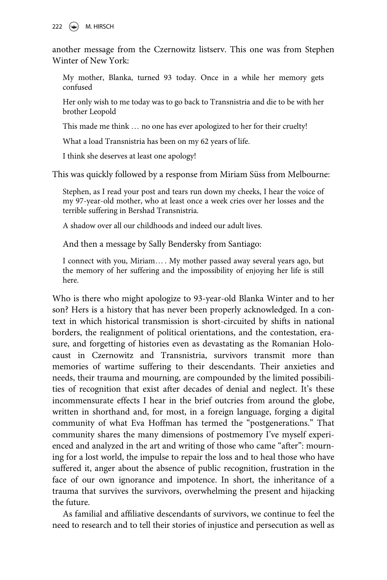another message from the Czernowitz listserv. This one was from Stephen Winter of New York:

My mother, Blanka, turned 93 today. Once in a while her memory gets confused

Her only wish to me today was to go back to Transnistria and die to be with her brother Leopold

This made me think … no one has ever apologized to her for their cruelty!

What a load Transnistria has been on my 62 years of life.

I think she deserves at least one apology!

This was quickly followed by a response from Miriam Süss from Melbourne:

Stephen, as I read your post and tears run down my cheeks, I hear the voice of my 97-year-old mother, who at least once a week cries over her losses and the terrible suffering in Bershad Transnistria.

A shadow over all our childhoods and indeed our adult lives.

And then a message by Sally Bendersky from Santiago:

I connect with you, Miriam… . My mother passed away several years ago, but the memory of her suffering and the impossibility of enjoying her life is still here.

Who is there who might apologize to 93-year-old Blanka Winter and to her son? Hers is a history that has never been properly acknowledged. In a context in which historical transmission is short-circuited by shifts in national borders, the realignment of political orientations, and the contestation, erasure, and forgetting of histories even as devastating as the Romanian Holocaust in Czernowitz and Transnistria, survivors transmit more than memories of wartime suffering to their descendants. Their anxieties and needs, their trauma and mourning, are compounded by the limited possibilities of recognition that exist after decades of denial and neglect. It's these incommensurate effects I hear in the brief outcries from around the globe, written in shorthand and, for most, in a foreign language, forging a digital community of what Eva Hoffman has termed the "postgenerations." That community shares the many dimensions of postmemory I've myself experienced and analyzed in the art and writing of those who came "after": mourning for a lost world, the impulse to repair the loss and to heal those who have suffered it, anger about the absence of public recognition, frustration in the face of our own ignorance and impotence. In short, the inheritance of a trauma that survives the survivors, overwhelming the present and hijacking the future.

As familial and affiliative descendants of survivors, we continue to feel the need to research and to tell their stories of injustice and persecution as well as